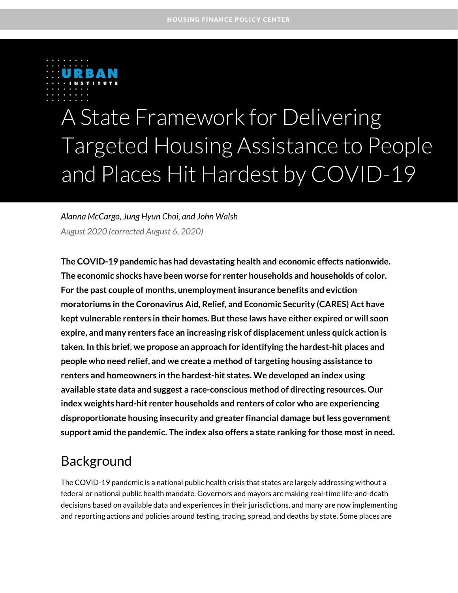

# A State Framework for Delivering Targeted Housing Assistance to People and Places Hit Hardest by COVID-19

*Alanna McCargo, Jung Hyun Choi, and John Walsh August 2020 (corrected August 6, 2020)*

**The COVID-19 pandemic has had devastating health and economic effects nationwide. The economic shocks have been worse for renter households and households of color. For the past couple of months, unemployment insurance benefits and eviction moratoriums in the Coronavirus Aid, Relief, and Economic Security (CARES) Act have kept vulnerable renters in their homes. Butthese laws have either expired or will soon expire, and many renters face an increasing risk of displacement unless quick action is taken. In this brief, we propose an approach for identifying the hardest-hit places and people who need relief, and we create a method of targeting housing assistance to renters and homeowners in the hardest-hit states. We developed an index using available state data and suggest a race-conscious method of directing resources. Our index weights hard-hit renter households and renters of color who are experiencing disproportionate housing insecurity and greater financial damage but less government support amid the pandemic. The index also offers a state ranking for those most in need.**

### Background

The COVID-19 pandemic is a national public health crisis that states are largely addressing without a federal or national public health mandate. Governors and mayors are making real-time life-and-death decisions based on available data and experiences in their jurisdictions, and many are now implementing and reporting actions and policies around testing, tracing, spread, and deaths by state. Some places are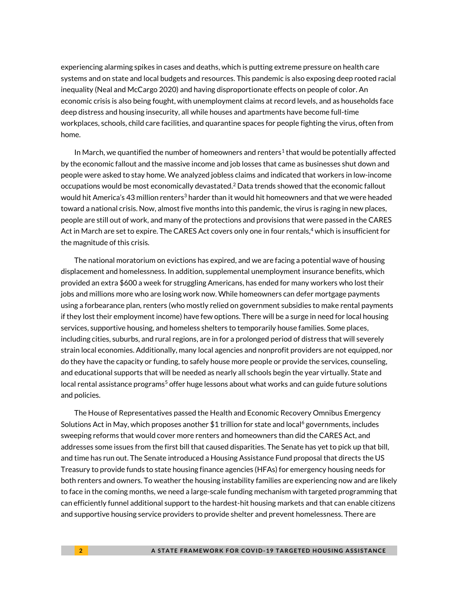experiencing alarming spikes in cases and deaths, which is putting extreme pressure on health care systems and on state and local budgets and resources. This pandemic is also exposing deep rooted racial inequality (Neal and McCargo 2020) and having disproportionate effects on people of color. An economic crisis is also being fought, with unemployment claims at record levels, and as households face deep distress and housing insecurity, all while houses and apartments have become full-time workplaces, schools, child care facilities, and quarantine spaces for people fighting the virus, often from home.

In March, we quantified the number of homeowners and renters<sup>1</sup> that would be potentially affected by the economic fallout and the massive income and job losses that came as businesses shut down and people were asked to stay home. We analyzed jobless claims and indicated that workers in low-income occupations would be most economically devastated. $^2$  Data trends showed that the economic fallout would hit America's 43 million renters<sup>3</sup> harder than it would hit homeowners and that we were headed toward a national crisis. Now, almost five months into this pandemic, the virus is raging in new places, people are still out of work, and many of the protections and provisions that were passed in the CARES Act in March are set to expire. The CARES Act covers only one in four rentals, <sup>4</sup> which is insufficient for the magnitude of this crisis.

The national moratorium on evictions has expired, and we are facing a potential wave of housing displacement and homelessness. In addition, supplemental unemployment insurance benefits, which provided an extra \$600 a week for struggling Americans, has ended for many workers who lost their jobs and millions more who are losing work now. While homeowners can defer mortgage payments using a forbearance plan, renters (who mostly relied on government subsidies to make rental payments if they lost their employment income) have few options. There will be a surge in need for local housing services, supportive housing, and homeless shelters to temporarily house families. Some places, including cities, suburbs, and rural regions, are in for a prolonged period of distress that will severely strain local economies. Additionally, many local agencies and nonprofit providers are not equipped, nor do they have the capacity or funding, to safely house more people or provide the services, counseling, and educational supports that will be needed as nearly all schools begin the year virtually. State and local rental assistance programs<sup>5</sup> offer huge lessons about what works and can guide future solutions and policies.

The House of Representatives passed the Health and Economic Recovery Omnibus Emergency Solutions Act in May, which proposes another \$1 trillion for state and local<sup>6</sup> governments, includes sweeping reforms that would cover more renters and homeowners than did the CARES Act, and addresses some issues from the first bill that caused disparities. The Senate has yet to pick up that bill, and time has run out. The Senate introduced a Housing Assistance Fund proposal that directs the US Treasury to provide funds to state housing finance agencies (HFAs) for emergency housing needs for both renters and owners. To weather the housing instability families are experiencing now and are likely to face in the coming months, we need a large-scale funding mechanism with targeted programming that can efficiently funnel additional support to the hardest-hit housing markets and that can enable citizens and supportive housing service providers to provide shelter and prevent homelessness. There are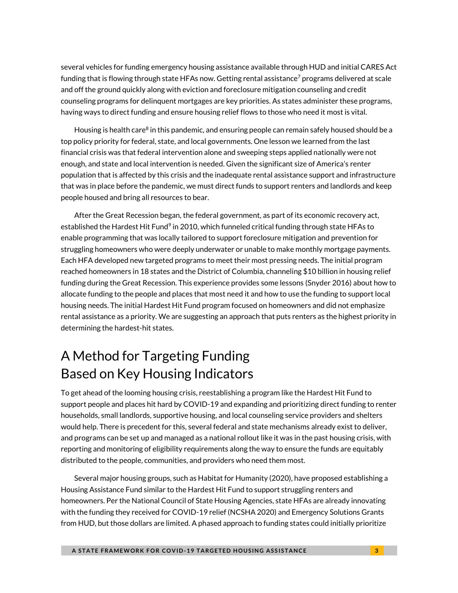several vehicles for funding emergency housing assistance available through HUD and initial CARES Act funding that is flowing through state HFAs now. Getting rental assistance<sup>7</sup> programs delivered at scale and off the ground quickly along with eviction and foreclosure mitigation counseling and credit counseling programs for delinquent mortgages are key priorities. As states administer these programs, having ways to direct funding and ensure housing relief flows to those who need it most is vital.

Housing is health care<sup>8</sup> in this pandemic, and ensuring people can remain safely housed should be a top policy priority for federal, state, and local governments. One lesson we learned from the last financial crisis was that federal intervention alone and sweeping steps applied nationally were not enough, and state and local intervention is needed. Given the significant size of America's renter population that is affected by this crisis and the inadequate rental assistance support and infrastructure that was in place before the pandemic, we must direct funds to support renters and landlords and keep people housed and bring all resources to bear.

After the Great Recession began, the federal government, as part of its economic recovery act, established the Hardest Hit Fund<sup>9</sup> in 2010, which funneled critical funding through state HFAs to enable programming that was locally tailored to support foreclosure mitigation and prevention for struggling homeowners who were deeply underwater or unable to make monthly mortgage payments. Each HFA developed new targeted programs to meet their most pressing needs. The initial program reached homeowners in 18 states and the District of Columbia, channeling \$10 billion in housing relief funding during the Great Recession. This experience provides some lessons (Snyder 2016) about how to allocate funding to the people and places that most need it and how to use the funding to support local housing needs. The initial Hardest Hit Fund program focused on homeowners and did not emphasize rental assistance as a priority. We are suggesting an approach that puts renters as the highest priority in determining the hardest-hit states.

# A Method for Targeting Funding Based on Key Housing Indicators

To get ahead of the looming housing crisis, reestablishing a program like the Hardest Hit Fund to support people and places hit hard by COVID-19 and expanding and prioritizing direct funding to renter households, small landlords, supportive housing, and local counseling service providers and shelters would help. There is precedent for this, several federal and state mechanisms already exist to deliver, and programs can be set up and managed as a national rollout like it was in the past housing crisis, with reporting and monitoring of eligibility requirements along the way to ensure the funds are equitably distributed to the people, communities, and providers who need them most.

Several major housing groups, such as Habitat for Humanity (2020), have proposed establishing a Housing Assistance Fund similar to the Hardest Hit Fund to support struggling renters and homeowners. Per the National Council of State Housing Agencies, state HFAs are already innovating with the funding they received for COVID-19 relief (NCSHA 2020) and Emergency Solutions Grants from HUD, but those dollars are limited. A phased approach to funding states could initially prioritize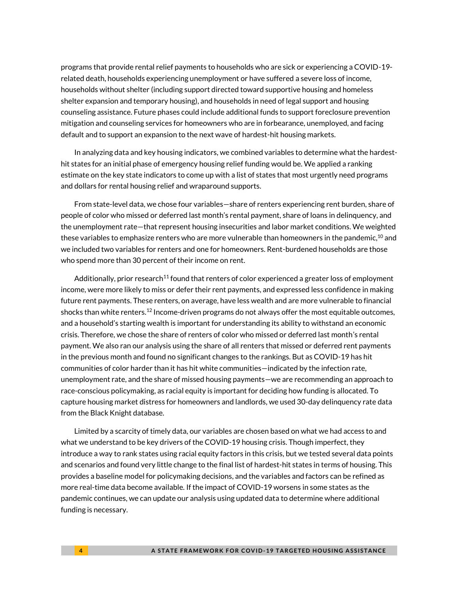programs that provide rental relief payments to households who are sick or experiencing a COVID-19 related death, households experiencing unemployment or have suffered a severe loss of income, households without shelter (including support directed toward supportive housing and homeless shelter expansion and temporary housing), and households in need of legal support and housing counseling assistance. Future phases could include additional funds to support foreclosure prevention mitigation and counseling services for homeowners who are in forbearance, unemployed, and facing default and to support an expansion to the next wave of hardest-hit housing markets.

In analyzing data and key housing indicators, we combined variables to determine what the hardesthit states for an initial phase of emergency housing relief funding would be. We applied a ranking estimate on the key state indicators to come up with a list of states that most urgently need programs and dollars for rental housing relief and wraparound supports.

From state-level data, we chose four variables—share of renters experiencing rent burden, share of people of color who missed or deferred last month's rental payment, share of loans in delinquency, and the unemployment rate—that represent housing insecurities and labor market conditions. We weighted these variables to emphasize renters who are more vulnerable than homeowners in the pandemic, $^{10}$  and we included two variables for renters and one for homeowners. Rent-burdened households are those who spend more than 30 percent of their income on rent.

Additionally, prior research<sup>11</sup> found that renters of color experienced a greater loss of employment income, were more likely to miss or defer their rent payments, and expressed less confidence in making future rent payments. These renters, on average, have less wealth and are more vulnerable to financial shocks than white renters.<sup>12</sup> Income-driven programs do not always offer the most equitable outcomes, and a household's starting wealth is important for understanding its ability to withstand an economic crisis. Therefore, we chose the share of renters of color who missed or deferred last month's rental payment. We also ran our analysis using the share of all renters that missed or deferred rent payments in the previous month and found no significant changes to the rankings. But as COVID-19 has hit communities of color harder than it has hit white communities—indicated by the infection rate, unemployment rate, and the share of missed housing payments—we are recommending an approach to race-conscious policymaking, as racial equity is important for deciding how funding is allocated. To capture housing market distress for homeowners and landlords, we used 30-day delinquency rate data from the Black Knight database.

Limited by a scarcity of timely data, our variables are chosen based on what we had access to and what we understand to be key drivers of the COVID-19 housing crisis. Though imperfect, they introduce a way to rank states using racial equity factors in this crisis, but we tested several data points and scenarios and found very little change to the final list of hardest-hit states in terms of housing. This provides a baseline model for policymaking decisions, and the variables and factors can be refined as more real-time data become available. If the impact of COVID-19 worsens in some states as the pandemic continues, we can update our analysis using updated data to determine where additional funding is necessary.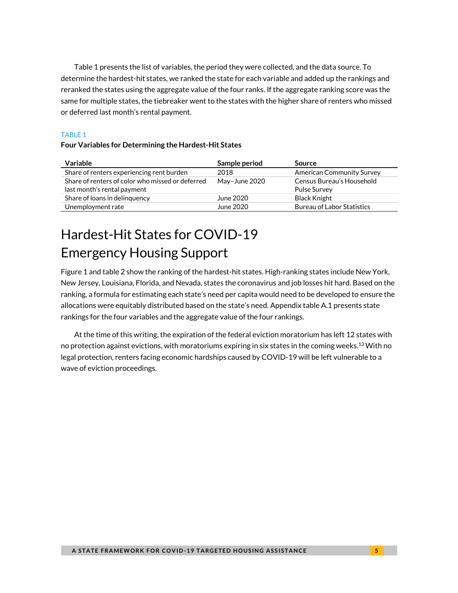Table 1 presents the list of variables, the period they were collected, and the data source. To determine the hardest-hit states, we ranked the state for each variable and added up the rankings and reranked the states using the aggregate value of the four ranks. If the aggregate ranking score was the same for multiple states, the tiebreaker went to the states with the higher share of renters who missed or deferred last month's rental payment.

### TABLE 1

### **Four Variables for Determining the Hardest-Hit States**

| Variable                                                                        | Sample period | Source                                           |
|---------------------------------------------------------------------------------|---------------|--------------------------------------------------|
| Share of renters experiencing rent burden                                       | 2018          | <b>American Community Survey</b>                 |
| Share of renters of color who missed or deferred<br>last month's rental payment | May-June 2020 | Census Bureau's Household<br><b>Pulse Survey</b> |
| Share of loans in delinguency                                                   | June 2020     | Black Knight                                     |
| Unemployment rate                                                               | June 2020     | <b>Bureau of Labor Statistics</b>                |

# Hardest-Hit States for COVID-19 Emergency Housing Support

Figure 1 and table 2 show the ranking of the hardest-hit states. High-ranking states include New York, New Jersey, Louisiana, Florida, and Nevada, states the coronavirus and job losses hit hard. Based on the ranking, a formula for estimating each state's need per capita would need to be developed to ensure the allocations were equitably distributed based on the state's need. Appendix table A.1 presents state rankings for the four variables and the aggregate value of the four rankings.

At the time of this writing, the expiration of the federal eviction moratorium has left 12 states with no protection against evictions, with moratoriums expiring in six states in the coming weeks. $^{13}$  With no legal protection, renters facing economic hardships caused by COVID-19 will be left vulnerable to a wave of eviction proceedings.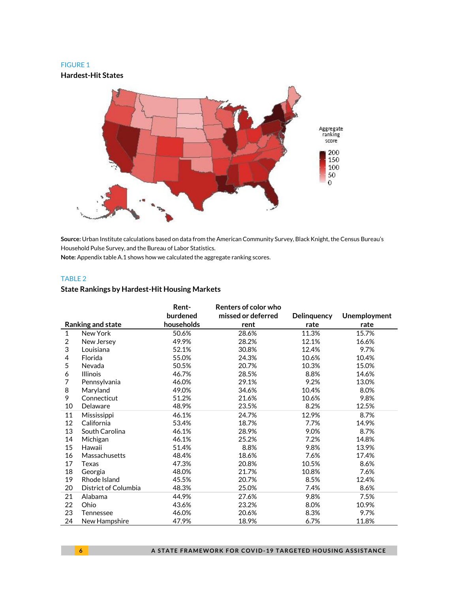#### FIGURE 1

**Hardest-Hit States**



**Source:** Urban Institute calculations based on data from the American Community Survey, Black Knight, the Census Bureau's Household Pulse Survey, and the Bureau of Labor Statistics.

**Note:** Appendix table A.1 shows how we calculated the aggregate ranking scores.

#### TABLE 2

### **State Rankings by Hardest-Hit Housing Markets**

|              |                      | Rent-      | Renters of color who |             |                     |
|--------------|----------------------|------------|----------------------|-------------|---------------------|
|              |                      | burdened   | missed or deferred   | Delinquency | <b>Unemployment</b> |
|              | Ranking and state    | households | rent                 | rate        | rate                |
| $\mathbf{1}$ | New York             | 50.6%      | 28.6%                | 11.3%       | 15.7%               |
| 2            | New Jersey           | 49.9%      | 28.2%                | 12.1%       | 16.6%               |
| 3            | Louisiana            | 52.1%      | 30.8%                | 12.4%       | 9.7%                |
| 4            | Florida              | 55.0%      | 24.3%                | 10.6%       | 10.4%               |
| 5            | Nevada               | 50.5%      | 20.7%                | 10.3%       | 15.0%               |
| 6            | <b>Illinois</b>      | 46.7%      | 28.5%                | 8.8%        | 14.6%               |
| 7            | Pennsylvania         | 46.0%      | 29.1%                | 9.2%        | 13.0%               |
| 8            | Maryland             | 49.0%      | 34.6%                | 10.4%       | 8.0%                |
| 9            | Connecticut          | 51.2%      | 21.6%                | 10.6%       | 9.8%                |
| 10           | Delaware             | 48.9%      | 23.5%                | 8.2%        | 12.5%               |
| 11           | Mississippi          | 46.1%      | 24.7%                | 12.9%       | 8.7%                |
| 12           | California           | 53.4%      | 18.7%                | 7.7%        | 14.9%               |
| 13           | South Carolina       | 46.1%      | 28.9%                | 9.0%        | 8.7%                |
| 14           | Michigan             | 46.1%      | 25.2%                | 7.2%        | 14.8%               |
| 15           | Hawaii               | 51.4%      | 8.8%                 | 9.8%        | 13.9%               |
| 16           | Massachusetts        | 48.4%      | 18.6%                | 7.6%        | 17.4%               |
| 17           | Texas                | 47.3%      | 20.8%                | 10.5%       | 8.6%                |
| 18           | Georgia              | 48.0%      | 21.7%                | 10.8%       | 7.6%                |
| 19           | Rhode Island         | 45.5%      | 20.7%                | 8.5%        | 12.4%               |
| 20           | District of Columbia | 48.3%      | 25.0%                | 7.4%        | 8.6%                |
| 21           | Alabama              | 44.9%      | 27.6%                | 9.8%        | 7.5%                |
| 22           | Ohio                 | 43.6%      | 23.2%                | 8.0%        | 10.9%               |
| 23           | Tennessee            | 46.0%      | 20.6%                | 8.3%        | 9.7%                |
| 24           | New Hampshire        | 47.9%      | 18.9%                | 6.7%        | 11.8%               |

**6 A STATE FRAMEWORK FOR COVID-19 TARGETED HOUSING ASSISTANCE**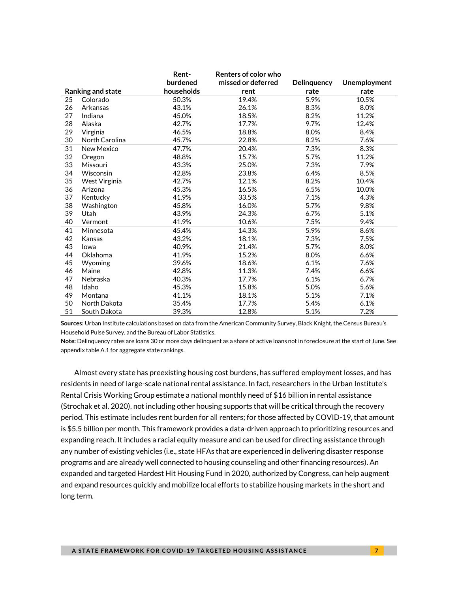|                 | Rent-<br>Renters of color who |            |                    |             |                     |
|-----------------|-------------------------------|------------|--------------------|-------------|---------------------|
|                 |                               | burdened   | missed or deferred | Delinquency | <b>Unemployment</b> |
|                 | Ranking and state             | households | rent               | rate        | rate                |
| $\overline{25}$ | Colorado                      | 50.3%      | 19.4%              | 5.9%        | 10.5%               |
| 26              | Arkansas                      | 43.1%      | 26.1%              | 8.3%        | 8.0%                |
| 27              | Indiana                       | 45.0%      | 18.5%              | 8.2%        | 11.2%               |
| 28              | Alaska                        | 42.7%      | 17.7%              | 9.7%        | 12.4%               |
| 29              | Virginia                      | 46.5%      | 18.8%              | 8.0%        | 8.4%                |
| 30              | North Carolina                | 45.7%      | 22.8%              | 8.2%        | 7.6%                |
| 31              | <b>New Mexico</b>             | 47.7%      | 20.4%              | 7.3%        | 8.3%                |
| 32              | Oregon                        | 48.8%      | 15.7%              | 5.7%        | 11.2%               |
| 33              | Missouri                      | 43.3%      | 25.0%              | 7.3%        | 7.9%                |
| 34              | Wisconsin                     | 42.8%      | 23.8%              | 6.4%        | 8.5%                |
| 35              | West Virginia                 | 42.7%      | 12.1%              | 8.2%        | 10.4%               |
| 36              | Arizona                       | 45.3%      | 16.5%              | 6.5%        | 10.0%               |
| 37              | Kentucky                      | 41.9%      | 33.5%              | 7.1%        | 4.3%                |
| 38              | Washington                    | 45.8%      | 16.0%              | 5.7%        | 9.8%                |
| 39              | Utah                          | 43.9%      | 24.3%              | 6.7%        | 5.1%                |
| 40              | Vermont                       | 41.9%      | 10.6%              | 7.5%        | 9.4%                |
| 41              | Minnesota                     | 45.4%      | 14.3%              | 5.9%        | 8.6%                |
| 42              | Kansas                        | 43.2%      | 18.1%              | 7.3%        | 7.5%                |
| 43              | lowa                          | 40.9%      | 21.4%              | 5.7%        | 8.0%                |
| 44              | Oklahoma                      | 41.9%      | 15.2%              | 8.0%        | 6.6%                |
| 45              | Wyoming                       | 39.6%      | 18.6%              | 6.1%        | 7.6%                |
| 46              | Maine                         | 42.8%      | 11.3%              | 7.4%        | 6.6%                |
| 47              | Nebraska                      | 40.3%      | 17.7%              | 6.1%        | 6.7%                |
| 48              | Idaho                         | 45.3%      | 15.8%              | 5.0%        | 5.6%                |
| 49              | Montana                       | 41.1%      | 18.1%              | 5.1%        | 7.1%                |
| 50              | North Dakota                  | 35.4%      | 17.7%              | 5.4%        | 6.1%                |
| 51              | South Dakota                  | 39.3%      | 12.8%              | 5.1%        | 7.2%                |

**Sources:** Urban Institute calculations based on data from the American Community Survey, Black Knight, the Census Bureau's Household Pulse Survey, and the Bureau of Labor Statistics.

**Note:** Delinquency rates are loans 30 or more days delinquent as a share of active loans not in foreclosure at the start of June. See appendix table A.1 for aggregate state rankings.

Almost every state has preexisting housing cost burdens, has suffered employment losses, and has residents in need of large-scale national rental assistance. In fact, researchers in the Urban Institute's [Rental Crisis Working Group estimate a national monthly need of \\$16 billion](https://www.urban.org/sites/default/files/2020/06/26/how_much_assistance_is_needed_to_support_renters_appendixes.pdf) in rental assistance (Strochak et al. 2020), not including other housing supports that will be critical through the recovery period. This estimate includes rent burden for all renters; for those affected by COVID-19, that amount is \$5.5 billion per month. This framework provides a data-driven approach to prioritizing resources and expanding reach. It includes a racial equity measure and can be used for directing assistance through any number of existing vehicles (i.e., state HFAs that are experienced in delivering disaster response programs and are already well connected to housing counseling and other financing resources). An expanded and targeted Hardest Hit Housing Fund in 2020, authorized by Congress, can help augment and expand resources quickly and mobilize local efforts to stabilize housing markets in the short and long term.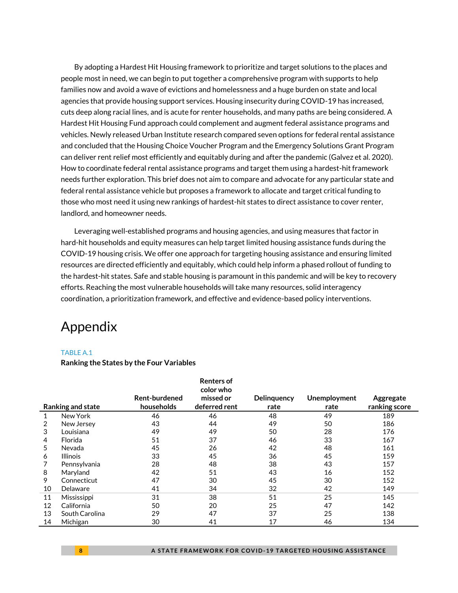By adopting a Hardest Hit Housing framework to prioritize and target solutions to the places and people most in need, we can begin to put together a comprehensive program with supports to help families now and avoid a wave of evictions and homelessness and a huge burden on state and local agencies that provide housing support services. Housing insecurity during COVID-19 has increased, cuts deep along racial lines, and is acute for renter households, and many paths are being considered. A Hardest Hit Housing Fund approach could complement and augment federal assistance programs and vehicles. Newly released Urban Institute research compared seven options for federal rental assistance and concluded that the Housing Choice Voucher Program and the Emergency Solutions Grant Program can deliver rent relief most efficiently and equitably during and after the pandemic (Galvez et al. 2020). How to coordinate federal rental assistance programs and target them using a hardest-hit framework needs further exploration. This brief does not aim to compare and advocate for any particular state and federal rental assistance vehicle but proposes a framework to allocate and target critical funding to those who most need it using new rankings of hardest-hit states to direct assistance to cover renter, landlord, and homeowner needs.

Leveraging well-established programs and housing agencies, and using measures that factor in hard-hit households and equity measures can help target limited housing assistance funds during the COVID-19 housing crisis. We offer one approach for targeting housing assistance and ensuring limited resources are directed efficiently and equitably, which could help inform a phased rollout of funding to the hardest-hit states. Safe and stable housing is paramount in this pandemic and will be key to recovery efforts. Reaching the most vulnerable households will take many resources, solid interagency coordination, a prioritization framework, and effective and evidence-based policy interventions.

### Appendix

### TABLE A 1

#### **Ranking the States by the Four Variables**

|    |                          |               | <b>Renters of</b><br>color who |                    |              |               |  |
|----|--------------------------|---------------|--------------------------------|--------------------|--------------|---------------|--|
|    |                          | Rent-burdened | missed or                      | <b>Delinguency</b> | Unemployment | Aggregate     |  |
|    | <b>Ranking and state</b> | households    | deferred rent                  | rate               | rate         | ranking score |  |
| 1  | New York                 | 46            | 46                             | 48                 | 49           | 189           |  |
|    | New Jersey               | 43            | 44                             | 49                 | 50           | 186           |  |
| 3  | Louisiana                | 49            | 49                             | 50                 | 28           | 176           |  |
| 4  | Florida                  | 51            | 37                             | 46                 | 33           | 167           |  |
| 5  | Nevada                   | 45            | 26                             | 42                 | 48           | 161           |  |
| 6  | <b>Illinois</b>          | 33            | 45                             | 36                 | 45           | 159           |  |
|    | Pennsylvania             | 28            | 48                             | 38                 | 43           | 157           |  |
| 8  | Maryland                 | 42            | 51                             | 43                 | 16           | 152           |  |
| 9  | Connecticut              | 47            | 30                             | 45                 | 30           | 152           |  |
| 10 | Delaware                 | 41            | 34                             | 32                 | 42           | 149           |  |
| 11 | Mississippi              | 31            | 38                             | 51                 | 25           | 145           |  |
| 12 | California               | 50            | 20                             | 25                 | 47           | 142           |  |
| 13 | South Carolina           | 29            | 47                             | 37                 | 25           | 138           |  |
| 14 | Michigan                 | 30            | 41                             | 17                 | 46           | 134           |  |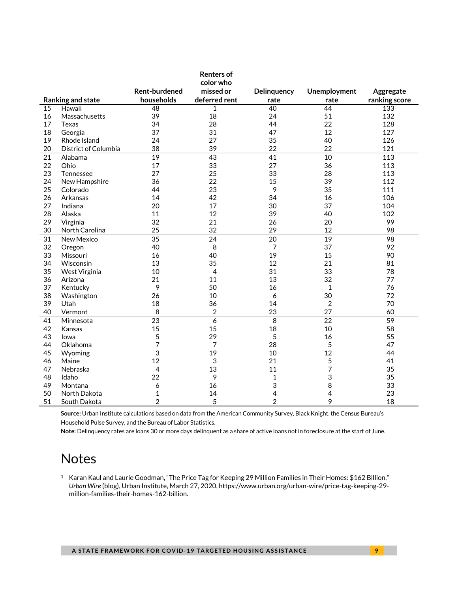|    |                      |                      | <b>Renters of</b> |             |                |               |
|----|----------------------|----------------------|-------------------|-------------|----------------|---------------|
|    |                      |                      | color who         |             |                |               |
|    |                      | <b>Rent-burdened</b> | missed or         | Delinquency | Unemployment   | Aggregate     |
|    | Ranking and state    | households           | deferred rent     | rate        | rate           | ranking score |
| 15 | Hawaii               | $\overline{48}$      | 1                 | 40          | 44             | 133           |
| 16 | Massachusetts        | 39                   | 18                | 24          | 51             | 132           |
| 17 | <b>Texas</b>         | 34                   | 28                | 44          | 22             | 128           |
| 18 | Georgia              | 37                   | 31                | 47          | 12             | 127           |
| 19 | Rhode Island         | 24                   | 27                | 35          | 40             | 126           |
| 20 | District of Columbia | 38                   | 39                | 22          | 22             | 121           |
| 21 | Alabama              | 19                   | 43                | 41          | 10             | 113           |
| 22 | Ohio                 | 17                   | 33                | 27          | 36             | 113           |
| 23 | Tennessee            | 27                   | 25                | 33          | 28             | 113           |
| 24 | New Hampshire        | 36                   | 22                | 15          | 39             | 112           |
| 25 | Colorado             | 44                   | 23                | 9           | 35             | 111           |
| 26 | Arkansas             | 14                   | 42                | 34          | 16             | 106           |
| 27 | Indiana              | 20                   | 17                | 30          | 37             | 104           |
| 28 | Alaska               | 11                   | 12                | 39          | 40             | 102           |
| 29 | Virginia             | 32                   | 21                | 26          | 20             | 99            |
| 30 | North Carolina       | 25                   | 32                | 29          | 12             | 98            |
| 31 | New Mexico           | 35                   | 24                | 20          | 19             | 98            |
| 32 | Oregon               | 40                   | 8                 | 7           | 37             | 92            |
| 33 | Missouri             | 16                   | 40                | 19          | 15             | 90            |
| 34 | Wisconsin            | 13                   | 35                | 12          | 21             | 81            |
| 35 | West Virginia        | 10                   | 4                 | 31          | 33             | 78            |
| 36 | Arizona              | 21                   | 11                | 13          | 32             | 77            |
| 37 | Kentucky             | 9                    | 50                | 16          | $\mathbf 1$    | 76            |
| 38 | Washington           | 26                   | 10                | 6           | 30             | 72            |
| 39 | Utah                 | 18                   | 36                | 14          | $\overline{2}$ | 70            |
| 40 | Vermont              | 8                    | $\overline{2}$    | 23          | 27             | 60            |
| 41 | Minnesota            | 23                   | 6                 | 8           | 22             | 59            |
| 42 | Kansas               | 15                   | 15                | 18          | 10             | 58            |
| 43 | lowa                 | 5                    | 29                | 5           | 16             | 55            |
| 44 | Oklahoma             | 7                    | 7                 | 28          | 5              | 47            |
| 45 | Wyoming              | 3                    | 19                | 10          | 12             | 44            |
| 46 | Maine                | 12                   | 3                 | 21          | 5              | 41            |
| 47 | Nebraska             | 4                    | 13                | 11          | $\overline{7}$ | 35            |
| 48 | Idaho                | 22                   | 9                 | $\mathbf 1$ | 3              | 35            |
| 49 | Montana              | 6                    | 16                | 3           | 8              | 33            |
| 50 | North Dakota         | $\mathbf{1}$         | 14                | 4           | 4              | 23            |
| 51 | South Dakota         | $\overline{2}$       | 5                 | 2           | 9              | 18            |

**Source:** Urban Institute calculations based on data from the American Community Survey, Black Knight, the Census Bureau's Household Pulse Survey, and the Bureau of Labor Statistics.

**Note:** Delinquency rates are loans 30 or more days delinquent as a share of active loans not in foreclosure at the start of June.

### **Notes**

 Karan Kaul and Laurie Goodman, "The Price Tag for Keeping 29 Million Families in Their Homes: \$162 Billion," *Urban Wire* (blog), Urban Institute, March 27, 2020, https://www.urban.org/urban-wire/price-tag-keeping-29 million-families-their-homes-162-billion.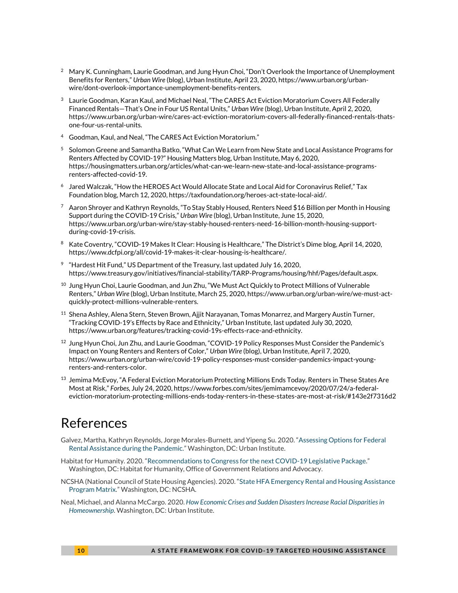- $2 \text{ Mary K. }$  Cunningham, Laurie Goodman, and Jung Hyun Choi, "Don't Overlook the Importance of Unemployment Benefits for Renters," *Urban Wire* (blog), Urban Institute, April 23, 2020, https://www.urban.org/urbanwire/dont-overlook-importance-unemployment-benefits-renters.
- $3<sup>3</sup>$  Laurie Goodman, Karan Kaul, and Michael Neal, "The CARES Act Eviction Moratorium Covers All Federally Financed Rentals—That's One in Four US Rental Units," *Urban Wire* (blog), Urban Institute, April 2, 2020, https://www.urban.org/urban-wire/cares-act-eviction-moratorium-covers-all-federally-financed-rentals-thatsone-four-us-rental-units.
- <sup>4</sup> Goodman, Kaul, and Neal, "The CARES Act Eviction Moratorium."
- <sup>5</sup> Solomon Greene and Samantha Batko, "What Can We Learn from New State and Local Assistance Programs for Renters Affected by COVID-19?" Housing Matters blog, Urban Institute, May 6, 2020, https://housingmatters.urban.org/articles/what-can-we-learn-new-state-and-local-assistance-programsrenters-affected-covid-19.
- $^{\rm 6}~\,$  Jared Walczak, "How the HEROES Act Would Allocate State and Local Aid for Coronavirus Relief," Tax Foundation blog, March 12, 2020, https://taxfoundation.org/heroes-act-state-local-aid/.
- $^7$  Aaron Shrover and Kathryn Reynolds, "To Stay Stably Housed, Renters Need \$16 Billion per Month in Housing Support during the COVID-19 Crisis," *Urban Wire* (blog), Urban Institute, June 15, 2020, https://www.urban.org/urban-wire/stay-stably-housed-renters-need-16-billion-month-housing-supportduring-covid-19-crisis.
- 8 Kate Coventry, "COVID-19 Makes It Clear: Housing is Healthcare," The District's Dime blog, April 14, 2020, https://www.dcfpi.org/all/covid-19-makes-it-clear-housing-is-healthcare/.
- $9$  "Hardest Hit Fund," US Department of the Treasury, last updated July 16, 2020, https://www.treasury.gov/initiatives/financial-stability/TARP-Programs/housing/hhf/Pages/default.aspx.
- $^{10}$  Jung Hyun Choi, Laurie Goodman, and Jun Zhu, "We Must Act Quickly to Protect Millions of Vulnerable Renters," *Urban Wire* (blog), Urban Institute, March 25, 2020, https://www.urban.org/urban-wire/we-must-actquickly-protect-millions-vulnerable-renters.
- $^{\rm 11}$  Shena Ashley, Alena Stern, Steven Brown, Ajjit Narayanan, Tomas Monarrez, and Margery Austin Turner, "Tracking COVID-19's Effects by Race and Ethnicity," Urban Institute, last updated July 30, 2020, https://www.urban.org/features/tracking-covid-19s-effects-race-and-ethnicity.
- $12$  Jung Hyun Choi, Jun Zhu, and Laurie Goodman, "COVID-19 Policy Responses Must Consider the Pandemic's Impact on Young Renters and Renters of Color," *Urban Wire* (blog), Urban Institute, April 7, 2020, https://www.urban.org/urban-wire/covid-19-policy-responses-must-consider-pandemics-impact-youngrenters-and-renters-color.
- $^{\rm 13}$  Jemima McEvoy, "A Federal Eviction Moratorium Protecting Millions Ends Today. Renters in These States Are Most at Risk," *Forbes,* July 24, 2020, https://www.forbes.com/sites/jemimamcevoy/2020/07/24/a-federaleviction-moratorium-protecting-millions-ends-today-renters-in-these-states-are-most-at-risk/#143e2f7316d2

### References

- Galvez, Martha, Kathryn Reynolds, Jorge Morales-Burnett, and Yipeng Su. 2020. "[Assessing Options for Federal](https://www.urban.org/sites/default/files/publication/102676/assessing_options_for_federal_rental_assistance_during_pandemic_0.pdf)  [Rental Assistance during the Pandemic.](https://www.urban.org/sites/default/files/publication/102676/assessing_options_for_federal_rental_assistance_during_pandemic_0.pdf)" Washington, DC: Urban Institute.
- Habitat for Humanity. 2020. "[Recommendations to Congress for the next COVID-19 Legislative Package.](https://www.habitat.org/sites/default/files/documents/HFHI-recommendations-to-Congress-for-fourth-COVID-19-package.pdf)" Washington, DC: Habitat for Humanity, Office of Government Relations and Advocacy.
- NCSHA (National Council of State Housing Agencies). 2020. "[State HFA Emergency Rental and Housing Assistance](https://www.ncsha.org/wp-content/uploads/State-HFA-Emergency-Rental-Assistance-Program-Matrix_2020.pdf)  [Program Matrix](https://www.ncsha.org/wp-content/uploads/State-HFA-Emergency-Rental-Assistance-Program-Matrix_2020.pdf)." Washington, DC: NCSHA.
- Neal, Michael, and Alanna McCargo. 2020. *[How Economic Crises and Sudden Disasters Increase Racial Disparities in](https://www.urban.org/sites/default/files/publication/102320/how-economic-crises-and-sudden-disasters-increase-racial-disparities-in-homeownership.pdf)  [Homeownership](https://www.urban.org/sites/default/files/publication/102320/how-economic-crises-and-sudden-disasters-increase-racial-disparities-in-homeownership.pdf)*. Washington, DC: Urban Institute.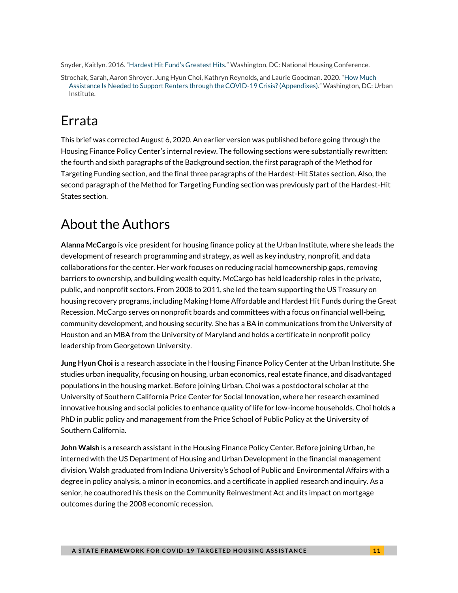Snyder, Kaitlyn. 2016. ["Hardest Hit Fund's Greatest Hits](https://nhc.org/wp-content/uploads/2017/10/Hardest-Hit-Fund.pdf)." Washington, DC: National Housing Conference.

Strochak, Sarah, Aaron Shroyer, Jung Hyun Choi, Kathryn Reynolds, and Laurie Goodman. 2020. "[How Much](https://edit.urban.org/sites/default/files/2020/06/26/how_much_assistance_is_needed_to_support_renters_appendixes.pdf)  [Assistance Is Needed to Support Renters through the COVID-19 Crisis? \(Appendixes\)](https://edit.urban.org/sites/default/files/2020/06/26/how_much_assistance_is_needed_to_support_renters_appendixes.pdf)." Washington, DC: Urban Institute.

# Errata

This brief was corrected August 6, 2020. An earlier version was published before going through the Housing Finance Policy Center's internal review. The following sections were substantially rewritten: the fourth and sixth paragraphs of the Background section, the first paragraph of the Method for Targeting Funding section, and the final three paragraphs of the Hardest-Hit States section. Also, the second paragraph of the Method for Targeting Funding section was previously part of the Hardest-Hit States section.

# About the Authors

**Alanna McCargo** is vice president for housing finance policy at the Urban Institute, where she leads the development of research programming and strategy, as well as key industry, nonprofit, and data collaborations for the center. Her work focuses on reducing racial homeownership gaps, removing barriers to ownership, and building wealth equity. McCargo has held leadership roles in the private, public, and nonprofit sectors. From 2008 to 2011, she led the team supporting the US Treasury on housing recovery programs, including Making Home Affordable and Hardest Hit Funds during the Great Recession. McCargo serves on nonprofit boards and committees with a focus on financial well-being, community development, and housing security. She has a BA in communications from the University of Houston and an MBA from the University of Maryland and holds a certificate in nonprofit policy leadership from Georgetown University.

**Jung Hyun Choi** is a research associate in the Housing Finance Policy Center at the Urban Institute. She studies urban inequality, focusing on housing, urban economics, real estate finance, and disadvantaged populations in the housing market. Before joining Urban, Choi was a postdoctoral scholar at the University of Southern California Price Center for Social Innovation, where her research examined innovative housing and social policies to enhance quality of life for low-income households. Choi holds a PhD in public policy and management from the Price School of Public Policy at the University of Southern California.

**John Walsh** is a research assistant in the Housing Finance Policy Center. Before joining Urban, he interned with the US Department of Housing and Urban Development in the financial management division. Walsh graduated from Indiana University's School of Public and Environmental Affairs with a degree in policy analysis, a minor in economics, and a certificate in applied research and inquiry. As a senior, he coauthored his thesis on the Community Reinvestment Act and its impact on mortgage outcomes during the 2008 economic recession.